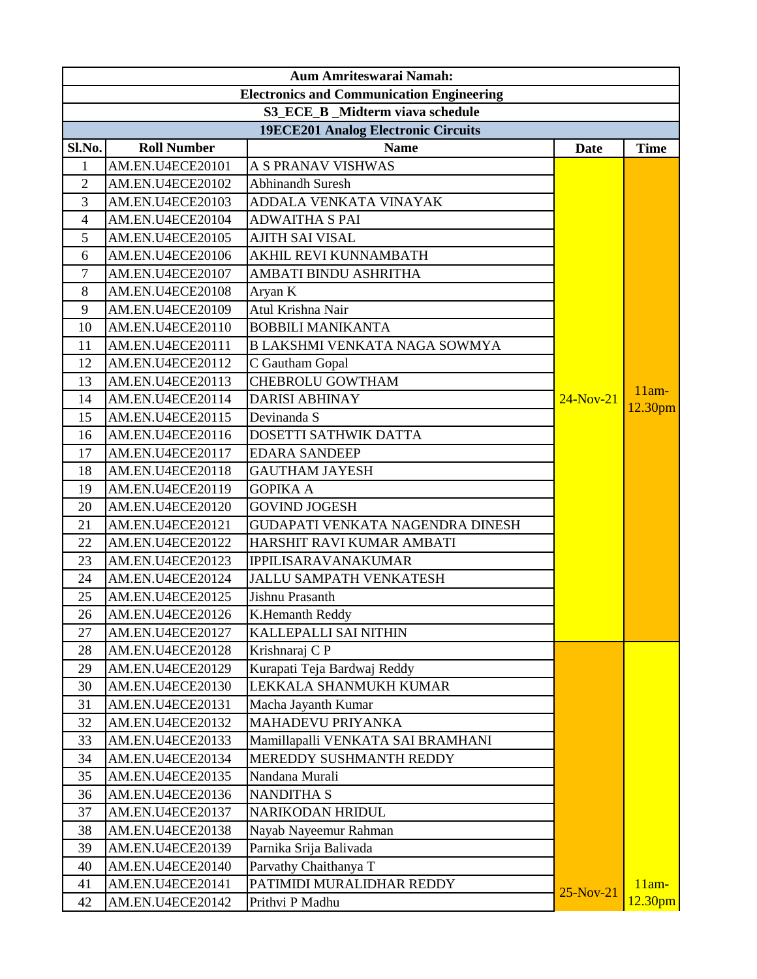|                                                  | Aum Amriteswarai Namah:                                         |                                     |             |                     |  |
|--------------------------------------------------|-----------------------------------------------------------------|-------------------------------------|-------------|---------------------|--|
| <b>Electronics and Communication Engineering</b> |                                                                 |                                     |             |                     |  |
|                                                  |                                                                 | S3 ECE B Midterm viava schedule     |             |                     |  |
|                                                  |                                                                 | 19ECE201 Analog Electronic Circuits |             |                     |  |
| Sl.No.                                           | <b>Roll Number</b><br><b>Name</b><br><b>Time</b><br><b>Date</b> |                                     |             |                     |  |
| $\mathbf{1}$                                     | AM.EN.U4ECE20101                                                | A S PRANAV VISHWAS                  |             |                     |  |
| $\overline{2}$                                   | AM.EN.U4ECE20102                                                | <b>Abhinandh Suresh</b>             |             |                     |  |
| 3                                                | AM.EN.U4ECE20103                                                | ADDALA VENKATA VINAYAK              |             |                     |  |
| $\overline{4}$                                   | AM.EN.U4ECE20104                                                | <b>ADWAITHA S PAI</b>               |             |                     |  |
| 5                                                | AM.EN.U4ECE20105                                                | <b>AJITH SAI VISAL</b>              |             |                     |  |
| 6                                                | AM.EN.U4ECE20106                                                | AKHIL REVI KUNNAMBATH               |             |                     |  |
| $\tau$                                           | AM.EN.U4ECE20107                                                | AMBATI BINDU ASHRITHA               |             |                     |  |
| 8                                                | AM.EN.U4ECE20108                                                | Aryan K                             |             |                     |  |
| 9                                                | AM.EN.U4ECE20109                                                | Atul Krishna Nair                   |             |                     |  |
| 10                                               | AM.EN.U4ECE20110                                                | <b>BOBBILI MANIKANTA</b>            |             |                     |  |
| 11                                               | AM.EN.U4ECE20111                                                | B LAKSHMI VENKATA NAGA SOWMYA       |             |                     |  |
| 12                                               | AM.EN.U4ECE20112                                                | C Gautham Gopal                     |             |                     |  |
| 13                                               | AM.EN.U4ECE20113                                                | <b>CHEBROLU GOWTHAM</b>             |             | $11am-$             |  |
| 14                                               | AM.EN.U4ECE20114                                                | <b>DARISI ABHINAY</b>               | $24-Nov-21$ | 12.30pm             |  |
| 15                                               | AM.EN.U4ECE20115                                                | Devinanda S                         |             |                     |  |
| 16                                               | AM.EN.U4ECE20116                                                | DOSETTI SATHWIK DATTA               |             |                     |  |
| 17                                               | AM.EN.U4ECE20117                                                | <b>EDARA SANDEEP</b>                |             |                     |  |
| 18                                               | AM.EN.U4ECE20118                                                | <b>GAUTHAM JAYESH</b>               |             |                     |  |
| 19                                               | AM.EN.U4ECE20119                                                | <b>GOPIKA A</b>                     |             |                     |  |
| 20                                               | AM.EN.U4ECE20120                                                | <b>GOVIND JOGESH</b>                |             |                     |  |
| 21                                               | AM.EN.U4ECE20121                                                | GUDAPATI VENKATA NAGENDRA DINESH    |             |                     |  |
| 22                                               | AM.EN.U4ECE20122                                                | HARSHIT RAVI KUMAR AMBATI           |             |                     |  |
| 23                                               | AM.EN.U4ECE20123                                                | <b>IPPILISARAVANAKUMAR</b>          |             |                     |  |
| 24                                               | AM.EN.U4ECE20124                                                | <b>JALLU SAMPATH VENKATESH</b>      |             |                     |  |
| 25                                               | AM.EN.U4ECE20125                                                | Jishnu Prasanth                     |             |                     |  |
| 26                                               | AM.EN.U4ECE20126                                                | K.Hemanth Reddy                     |             |                     |  |
| 27                                               | AM.EN.U4ECE20127                                                | <b>KALLEPALLI SAI NITHIN</b>        |             |                     |  |
| 28                                               | AM.EN.U4ECE20128                                                | Krishnaraj C P                      |             |                     |  |
| 29                                               | AM.EN.U4ECE20129                                                | Kurapati Teja Bardwaj Reddy         |             |                     |  |
| 30                                               | AM.EN.U4ECE20130                                                | LEKKALA SHANMUKH KUMAR              |             |                     |  |
| 31                                               | AM.EN.U4ECE20131                                                | Macha Jayanth Kumar                 |             |                     |  |
| 32                                               | AM.EN.U4ECE20132                                                | <b>MAHADEVU PRIYANKA</b>            |             |                     |  |
| 33                                               | AM.EN.U4ECE20133                                                | Mamillapalli VENKATA SAI BRAMHANI   |             |                     |  |
| 34                                               | AM.EN.U4ECE20134                                                | MEREDDY SUSHMANTH REDDY             |             |                     |  |
| 35                                               | AM.EN.U4ECE20135                                                | Nandana Murali                      |             |                     |  |
| 36                                               | AM.EN.U4ECE20136                                                | <b>NANDITHA S</b>                   |             |                     |  |
| 37                                               | AM.EN.U4ECE20137                                                | NARIKODAN HRIDUL                    |             |                     |  |
| 38                                               | AM.EN.U4ECE20138                                                | Nayab Nayeemur Rahman               |             |                     |  |
| 39                                               | AM.EN.U4ECE20139                                                | Parnika Srija Balivada              |             |                     |  |
| 40                                               | AM.EN.U4ECE20140                                                | Parvathy Chaithanya T               |             |                     |  |
| 41                                               | AM.EN.U4ECE20141                                                | PATIMIDI MURALIDHAR REDDY           | 25-Nov-21   | $11am-$             |  |
| 42                                               | AM.EN.U4ECE20142                                                | Prithvi P Madhu                     |             | 12.30 <sub>pm</sub> |  |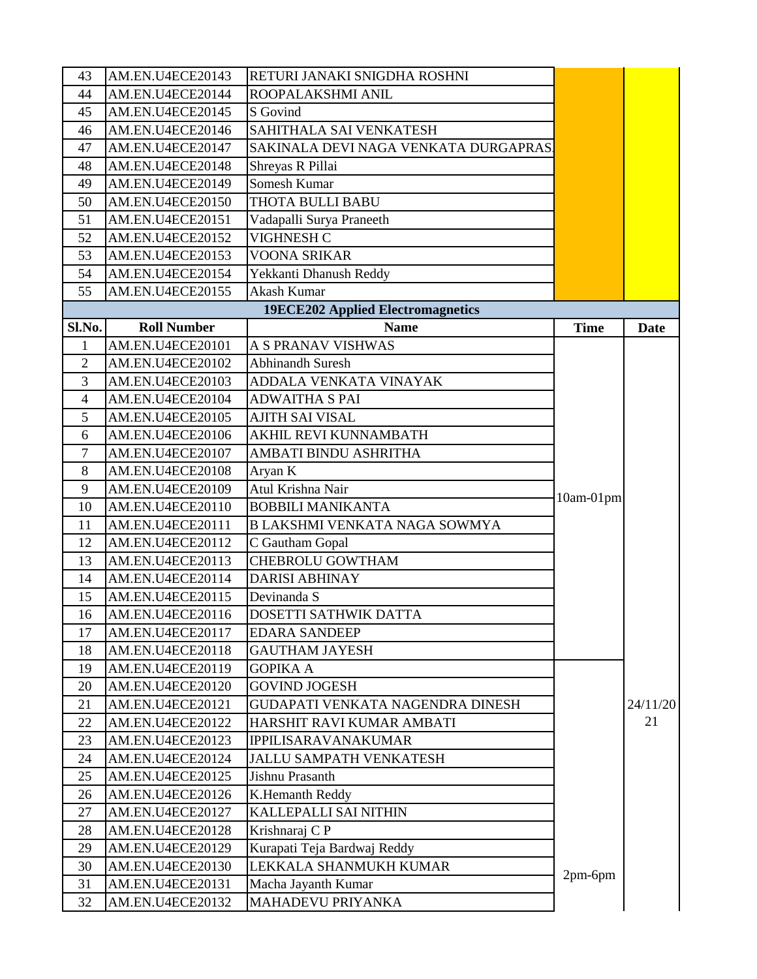| 43             | AM.EN.U4ECE20143   | RETURI JANAKI SNIGDHA ROSHNI             |             |             |
|----------------|--------------------|------------------------------------------|-------------|-------------|
| 44             | AM.EN.U4ECE20144   | ROOPALAKSHMI ANIL                        |             |             |
| 45             | AM.EN.U4ECE20145   | S Govind                                 |             |             |
| 46             | AM.EN.U4ECE20146   | SAHITHALA SAI VENKATESH                  |             |             |
| 47             | AM.EN.U4ECE20147   | SAKINALA DEVI NAGA VENKATA DURGAPRAS     |             |             |
| 48             | AM.EN.U4ECE20148   | Shreyas R Pillai                         |             |             |
| 49             | AM.EN.U4ECE20149   | Somesh Kumar                             |             |             |
| 50             | AM.EN.U4ECE20150   | THOTA BULLI BABU                         |             |             |
| 51             | AM.EN.U4ECE20151   | Vadapalli Surya Praneeth                 |             |             |
| 52             | AM.EN.U4ECE20152   | VIGHNESH C                               |             |             |
| 53             | AM.EN.U4ECE20153   | <b>VOONA SRIKAR</b>                      |             |             |
| 54             | AM.EN.U4ECE20154   | Yekkanti Dhanush Reddy                   |             |             |
| 55             | AM.EN.U4ECE20155   | Akash Kumar                              |             |             |
|                |                    | <b>19ECE202 Applied Electromagnetics</b> |             |             |
| Sl.No.         | <b>Roll Number</b> | <b>Name</b>                              | <b>Time</b> | <b>Date</b> |
| $\mathbf{1}$   | AM.EN.U4ECE20101   | <b>A S PRANAV VISHWAS</b>                |             |             |
| $\overline{2}$ | AM.EN.U4ECE20102   | <b>Abhinandh Suresh</b>                  |             |             |
| 3              | AM.EN.U4ECE20103   | ADDALA VENKATA VINAYAK                   |             |             |
| $\overline{4}$ | AM.EN.U4ECE20104   | <b>ADWAITHA S PAI</b>                    |             |             |
| 5              | AM.EN.U4ECE20105   | <b>AJITH SAI VISAL</b>                   |             |             |
| 6              | AM.EN.U4ECE20106   | <b>AKHIL REVI KUNNAMBATH</b>             |             |             |
| 7              | AM.EN.U4ECE20107   | AMBATI BINDU ASHRITHA                    |             |             |
| 8              | AM.EN.U4ECE20108   | Aryan K                                  |             |             |
| 9              | AM.EN.U4ECE20109   | Atul Krishna Nair                        | $10am-01pm$ |             |
| 10             | AM.EN.U4ECE20110   | <b>BOBBILI MANIKANTA</b>                 |             |             |
| 11             | AM.EN.U4ECE20111   | B LAKSHMI VENKATA NAGA SOWMYA            |             |             |
| 12             | AM.EN.U4ECE20112   | C Gautham Gopal                          |             |             |
| 13             | AM.EN.U4ECE20113   | <b>CHEBROLU GOWTHAM</b>                  |             |             |
| 14             | AM.EN.U4ECE20114   | <b>DARISI ABHINAY</b>                    |             |             |
| 15             | AM.EN.U4ECE20115   | Devinanda S                              |             |             |
| 16             | AM.EN.U4ECE20116   | DOSETTI SATHWIK DATTA                    |             |             |
| 17             | AM.EN.U4ECE20117   | <b>EDARA SANDEEP</b>                     |             |             |
| 18             | AM.EN.U4ECE20118   | <b>GAUTHAM JAYESH</b>                    |             |             |
| 19             | AM.EN.U4ECE20119   | <b>GOPIKA A</b>                          |             |             |
| 20             | AM.EN.U4ECE20120   | <b>GOVIND JOGESH</b>                     |             |             |
| 21             | AM.EN.U4ECE20121   | GUDAPATI VENKATA NAGENDRA DINESH         |             | 24/11/20    |
| 22             | AM.EN.U4ECE20122   | HARSHIT RAVI KUMAR AMBATI                |             | 21          |
| 23             | AM.EN.U4ECE20123   | <b>IPPILISARAVANAKUMAR</b>               |             |             |
| 24             | AM.EN.U4ECE20124   | <b>JALLU SAMPATH VENKATESH</b>           |             |             |
| 25             | AM.EN.U4ECE20125   | Jishnu Prasanth                          |             |             |
| 26             | AM.EN.U4ECE20126   | K.Hemanth Reddy                          |             |             |
| 27             | AM.EN.U4ECE20127   | KALLEPALLI SAI NITHIN                    |             |             |
| 28             | AM.EN.U4ECE20128   | Krishnaraj CP                            |             |             |
| 29             | AM.EN.U4ECE20129   | Kurapati Teja Bardwaj Reddy              |             |             |
| 30             | AM.EN.U4ECE20130   | LEKKALA SHANMUKH KUMAR                   | 2pm-6pm     |             |
| 31             | AM.EN.U4ECE20131   | Macha Jayanth Kumar                      |             |             |
| 32             | AM.EN.U4ECE20132   | MAHADEVU PRIYANKA                        |             |             |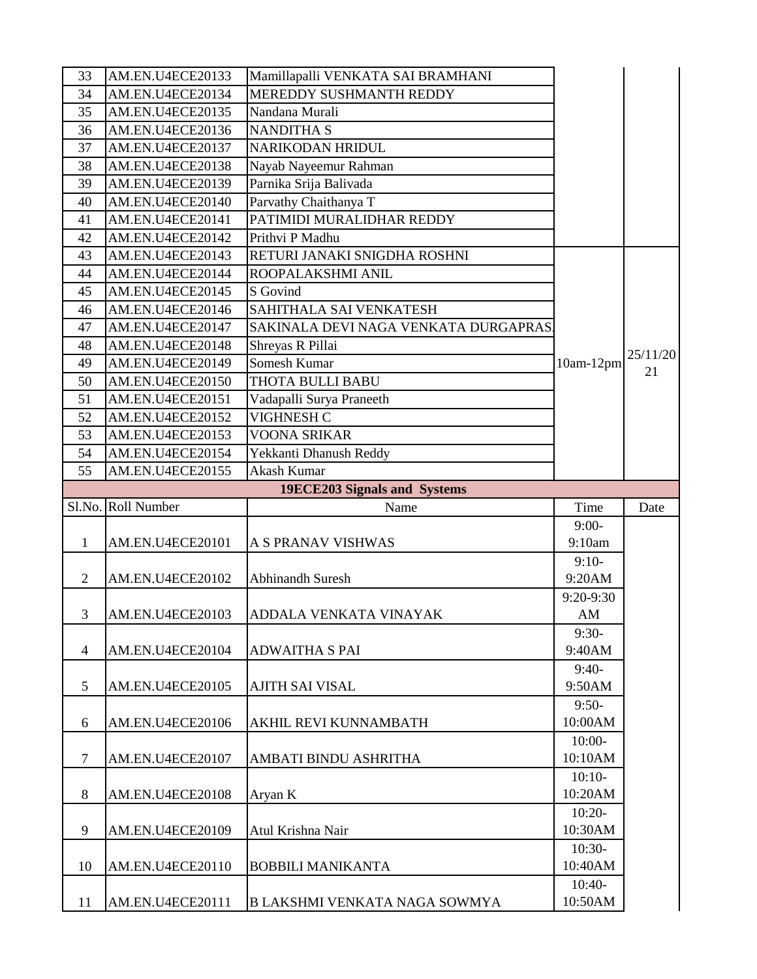| 33             | AM.EN.U4ECE20133   | Mamillapalli VENKATA SAI BRAMHANI    |                     |          |
|----------------|--------------------|--------------------------------------|---------------------|----------|
| 34             | AM.EN.U4ECE20134   | <b>MEREDDY SUSHMANTH REDDY</b>       |                     |          |
| 35             | AM.EN.U4ECE20135   | Nandana Murali                       |                     |          |
| 36             | AM.EN.U4ECE20136   | <b>NANDITHA S</b>                    |                     |          |
| 37             | AM.EN.U4ECE20137   | NARIKODAN HRIDUL                     |                     |          |
| 38             | AM.EN.U4ECE20138   | Nayab Nayeemur Rahman                |                     |          |
| 39             | AM.EN.U4ECE20139   | Parnika Srija Balivada               |                     |          |
| 40             | AM.EN.U4ECE20140   | Parvathy Chaithanya T                |                     |          |
| 41             | AM.EN.U4ECE20141   | PATIMIDI MURALIDHAR REDDY            |                     |          |
| 42             | AM.EN.U4ECE20142   | Prithvi P Madhu                      |                     |          |
| 43             | AM.EN.U4ECE20143   | RETURI JANAKI SNIGDHA ROSHNI         |                     |          |
| 44             | AM.EN.U4ECE20144   | ROOPALAKSHMI ANIL                    |                     |          |
| 45             | AM.EN.U4ECE20145   | S Govind                             |                     |          |
| 46             | AM.EN.U4ECE20146   | SAHITHALA SAI VENKATESH              |                     |          |
| 47             | AM.EN.U4ECE20147   | SAKINALA DEVI NAGA VENKATA DURGAPRAS |                     |          |
| 48             | AM.EN.U4ECE20148   | Shreyas R Pillai                     |                     | 25/11/20 |
| 49             | AM.EN.U4ECE20149   | Somesh Kumar                         | 10am-12pm           | 21       |
| 50             | AM.EN.U4ECE20150   | THOTA BULLI BABU                     |                     |          |
| 51             | AM.EN.U4ECE20151   | Vadapalli Surya Praneeth             |                     |          |
| 52             | AM.EN.U4ECE20152   | <b>VIGHNESH C</b>                    |                     |          |
| 53             | AM.EN.U4ECE20153   | <b>VOONA SRIKAR</b>                  |                     |          |
| 54             | AM.EN.U4ECE20154   | Yekkanti Dhanush Reddy               |                     |          |
| 55             | AM.EN.U4ECE20155   | Akash Kumar                          |                     |          |
|                |                    | 19ECE203 Signals and Systems         |                     |          |
|                |                    |                                      |                     |          |
|                | Sl.No. Roll Number | Name                                 | Time                | Date     |
|                |                    |                                      | $9:00-$             |          |
| $\mathbf{1}$   | AM.EN.U4ECE20101   | A S PRANAV VISHWAS                   | 9:10am              |          |
|                |                    |                                      | $9:10-$             |          |
| $\overline{2}$ | AM.EN.U4ECE20102   | <b>Abhinandh Suresh</b>              | 9:20AM              |          |
|                |                    |                                      | 9:20-9:30           |          |
| 3              | AM.EN.U4ECE20103   | ADDALA VENKATA VINAYAK               | AM                  |          |
|                |                    |                                      | $9:30-$             |          |
| $\overline{4}$ | AM.EN.U4ECE20104   | <b>ADWAITHA S PAI</b>                | 9:40AM              |          |
|                |                    |                                      | $9:40-$             |          |
| 5              | AM.EN.U4ECE20105   | <b>AJITH SAI VISAL</b>               | 9:50AM              |          |
|                |                    |                                      | $9:50-$             |          |
| 6              | AM.EN.U4ECE20106   | AKHIL REVI KUNNAMBATH                | 10:00AM             |          |
|                |                    |                                      | $10:00-$            |          |
| $\tau$         | AM.EN.U4ECE20107   | AMBATI BINDU ASHRITHA                | 10:10AM             |          |
|                |                    |                                      | $10:10-$            |          |
| 8              | AM.EN.U4ECE20108   | Aryan K                              | 10:20AM             |          |
|                |                    |                                      | $10:20-$            |          |
| 9              | AM.EN.U4ECE20109   | Atul Krishna Nair                    | 10:30AM             |          |
|                |                    |                                      | $10:30-$            |          |
| 10             | AM.EN.U4ECE20110   | <b>BOBBILI MANIKANTA</b>             | 10:40AM             |          |
| 11             | AM.EN.U4ECE20111   | B LAKSHMI VENKATA NAGA SOWMYA        | $10:40-$<br>10:50AM |          |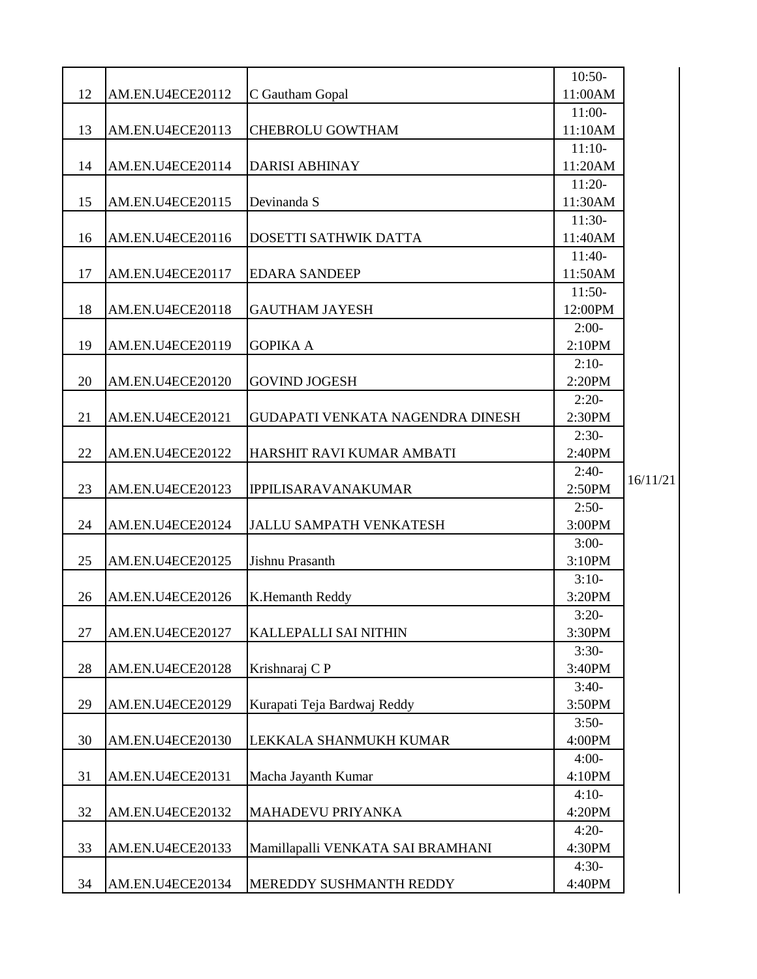| 12 | AM.EN.U4ECE20112        | C Gautham Gopal                   | $10:50-$<br>11:00AM |          |
|----|-------------------------|-----------------------------------|---------------------|----------|
|    |                         |                                   | $11:00-$            |          |
| 13 | AM.EN.U4ECE20113        | <b>CHEBROLU GOWTHAM</b>           | 11:10AM             |          |
|    |                         |                                   | $11:10-$            |          |
| 14 | AM.EN.U4ECE20114        | <b>DARISI ABHINAY</b>             | 11:20AM             |          |
|    |                         |                                   | $11:20-$            |          |
| 15 | AM.EN.U4ECE20115        | Devinanda S                       | 11:30AM             |          |
|    |                         |                                   | $11:30-$            |          |
| 16 | AM.EN.U4ECE20116        | DOSETTI SATHWIK DATTA             | 11:40AM             |          |
|    |                         |                                   | $11:40-$            |          |
| 17 | AM.EN.U4ECE20117        | <b>EDARA SANDEEP</b>              | 11:50AM             |          |
| 18 |                         |                                   | $11:50-$            |          |
|    | AM.EN.U4ECE20118        | <b>GAUTHAM JAYESH</b>             | 12:00PM<br>$2:00-$  |          |
| 19 | <b>AM.EN.U4ECE20119</b> | <b>GOPIKA A</b>                   | 2:10PM              |          |
|    |                         |                                   | $2:10-$             |          |
| 20 | AM.EN.U4ECE20120        | <b>GOVIND JOGESH</b>              | 2:20PM              |          |
|    |                         |                                   | $2:20-$             |          |
| 21 | AM.EN.U4ECE20121        | GUDAPATI VENKATA NAGENDRA DINESH  | 2:30PM              |          |
|    |                         |                                   | $2:30-$             |          |
| 22 | AM.EN.U4ECE20122        | HARSHIT RAVI KUMAR AMBATI         | 2:40PM              |          |
|    |                         |                                   | $2:40-$             |          |
| 23 | AM.EN.U4ECE20123        | <b>IPPILISARAVANAKUMAR</b>        | 2:50PM              | 16/11/21 |
|    |                         |                                   | $2:50-$             |          |
| 24 | AM.EN.U4ECE20124        | <b>JALLU SAMPATH VENKATESH</b>    | 3:00PM              |          |
|    |                         |                                   | $3:00-$             |          |
| 25 | AM.EN.U4ECE20125        | Jishnu Prasanth                   | 3:10PM              |          |
|    |                         |                                   | $3:10-$             |          |
| 26 | AM.EN.U4ECE20126        | K.Hemanth Reddy                   | 3:20PM              |          |
|    |                         |                                   | $3:20-$             |          |
| 27 | AM.EN.U4ECE20127        | <b>KALLEPALLI SAI NITHIN</b>      | 3:30PM              |          |
| 28 | AM.EN.U4ECE20128        | Krishnaraj CP                     | $3:30-$<br>3:40PM   |          |
|    |                         |                                   | $3:40-$             |          |
| 29 | AM.EN.U4ECE20129        | Kurapati Teja Bardwaj Reddy       | 3:50PM              |          |
|    |                         |                                   | $3:50-$             |          |
| 30 | AM.EN.U4ECE20130        | LEKKALA SHANMUKH KUMAR            | 4:00PM              |          |
|    |                         |                                   | $4:00-$             |          |
| 31 | AM.EN.U4ECE20131        | Macha Jayanth Kumar               | 4:10PM              |          |
|    |                         |                                   | $4:10-$             |          |
| 32 | AM.EN.U4ECE20132        | MAHADEVU PRIYANKA                 | 4:20PM              |          |
|    |                         |                                   | $4:20-$             |          |
| 33 | AM.EN.U4ECE20133        | Mamillapalli VENKATA SAI BRAMHANI | 4:30PM              |          |
|    |                         |                                   | $4:30-$             |          |
| 34 | AM.EN.U4ECE20134        | MEREDDY SUSHMANTH REDDY           | 4:40PM              |          |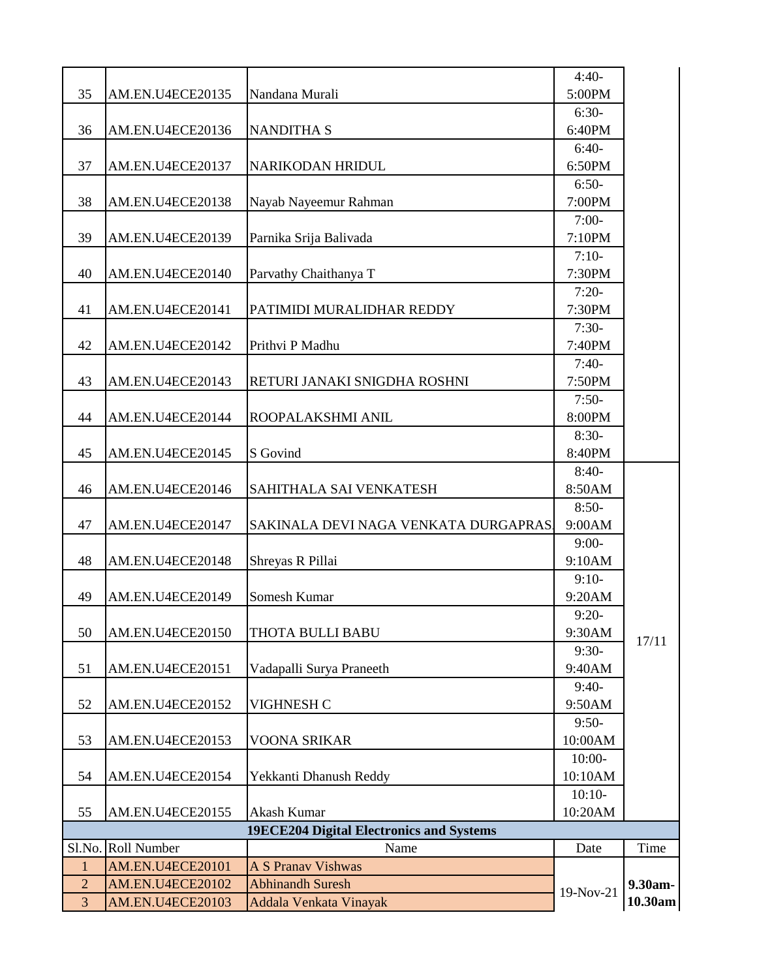| 35             |                    |                                                 | $4:40-$<br>5:00PM |         |
|----------------|--------------------|-------------------------------------------------|-------------------|---------|
|                | AM.EN.U4ECE20135   | Nandana Murali                                  | $6:30-$           |         |
| 36             | AM.EN.U4ECE20136   | <b>NANDITHA S</b>                               | 6:40PM            |         |
|                |                    |                                                 | $6:40-$           |         |
| 37             | AM.EN.U4ECE20137   | NARIKODAN HRIDUL                                | 6:50PM            |         |
|                |                    |                                                 | $6:50-$           |         |
| 38             | AM.EN.U4ECE20138   | Nayab Nayeemur Rahman                           | 7:00PM            |         |
|                |                    |                                                 | $7:00-$           |         |
| 39             | AM.EN.U4ECE20139   | Parnika Srija Balivada                          | 7:10PM            |         |
| 40             | AM.EN.U4ECE20140   | Parvathy Chaithanya T                           | $7:10-$<br>7:30PM |         |
|                |                    |                                                 | $7:20-$           |         |
| 41             | AM.EN.U4ECE20141   | PATIMIDI MURALIDHAR REDDY                       | 7:30PM            |         |
|                |                    |                                                 | $7:30-$           |         |
| 42             | AM.EN.U4ECE20142   | Prithvi P Madhu                                 | 7:40PM            |         |
|                |                    |                                                 | $7:40-$           |         |
| 43             | AM.EN.U4ECE20143   | RETURI JANAKI SNIGDHA ROSHNI                    | 7:50PM            |         |
|                |                    |                                                 | $7:50-$           |         |
| 44             | AM.EN.U4ECE20144   | ROOPALAKSHMI ANIL                               | 8:00PM            |         |
|                |                    |                                                 | $8:30-$           |         |
| 45             | AM.EN.U4ECE20145   | S Govind                                        | 8:40PM            |         |
| 46             | AM.EN.U4ECE20146   | SAHITHALA SAI VENKATESH                         | $8:40-$<br>8:50AM |         |
|                |                    |                                                 | $8:50-$           |         |
| 47             | AM.EN.U4ECE20147   | SAKINALA DEVI NAGA VENKATA DURGAPRAS.           | 9:00AM            |         |
|                |                    |                                                 | $9:00-$           |         |
| 48             | AM.EN.U4ECE20148   | Shreyas R Pillai                                | 9:10AM            |         |
|                |                    |                                                 | $9:10-$           |         |
| 49             | AM.EN.U4ECE20149   | Somesh Kumar                                    | 9:20AM            |         |
|                |                    |                                                 | $9:20-$           |         |
| 50             | AM.EN.U4ECE20150   | THOTA BULLI BABU                                | 9:30AM            | 17/11   |
|                |                    |                                                 | $9:30-$           |         |
| 51             | AM.EN.U4ECE20151   | Vadapalli Surya Praneeth                        | 9:40AM            |         |
| 52             | AM.EN.U4ECE20152   | VIGHNESH C                                      | $9:40-$<br>9:50AM |         |
|                |                    |                                                 | $9:50-$           |         |
| 53             | AM.EN.U4ECE20153   | <b>VOONA SRIKAR</b>                             | 10:00AM           |         |
|                |                    |                                                 | $10:00-$          |         |
| 54             | AM.EN.U4ECE20154   | Yekkanti Dhanush Reddy                          | 10:10AM           |         |
|                |                    |                                                 | $10:10-$          |         |
| 55             | AM.EN.U4ECE20155   | Akash Kumar                                     | 10:20AM           |         |
|                |                    | <b>19ECE204 Digital Electronics and Systems</b> |                   |         |
|                | Sl.No. Roll Number | Name                                            | Date              | Time    |
| $\mathbf{1}$   | AM.EN.U4ECE20101   | <b>A S Pranav Vishwas</b>                       |                   |         |
| $\overline{2}$ | AM.EN.U4ECE20102   | <b>Abhinandh Suresh</b>                         | 19-Nov-21         | 9.30am- |
| $\overline{3}$ | AM.EN.U4ECE20103   | Addala Venkata Vinayak                          |                   | 10.30am |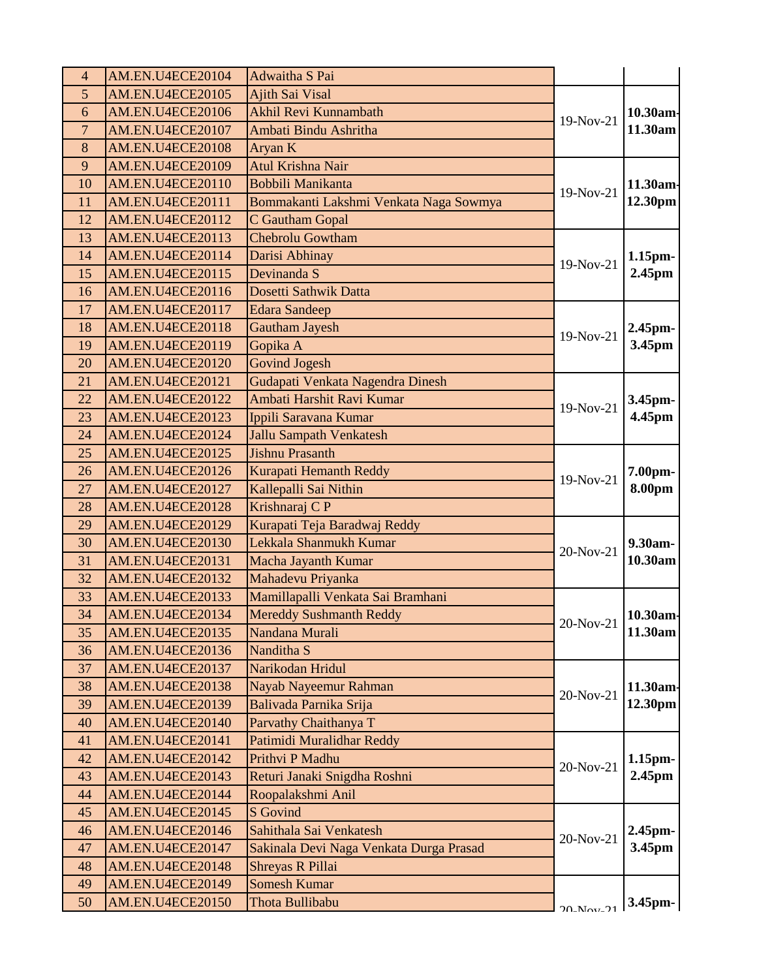| 4              | AM.EN.U4ECE20104        | Adwaitha S Pai                          |                         |               |
|----------------|-------------------------|-----------------------------------------|-------------------------|---------------|
| 5              | AM.EN.U4ECE20105        | <b>Ajith Sai Visal</b>                  |                         |               |
| 6              | AM.EN.U4ECE20106        | Akhil Revi Kunnambath                   | 19-Nov-21               | 10.30am-      |
| $\overline{7}$ | AM.EN.U4ECE20107        | Ambati Bindu Ashritha                   |                         | 11.30am       |
| 8              | AM.EN.U4ECE20108        | Aryan K                                 |                         |               |
| 9              | AM.EN.U4ECE20109        | Atul Krishna Nair                       |                         |               |
| 10             | AM.EN.U4ECE20110        | Bobbili Manikanta                       | 19-Nov-21               | 11.30am-      |
| 11             | AM.EN.U4ECE20111        | Bommakanti Lakshmi Venkata Naga Sowmya  |                         | 12.30pm       |
| 12             | AM.EN.U4ECE20112        | C Gautham Gopal                         |                         |               |
| 13             | <b>AM.EN.U4ECE20113</b> | <b>Chebrolu Gowtham</b>                 |                         |               |
| 14             | AM.EN.U4ECE20114        | Darisi Abhinay                          | 19-Nov-21               | 1.15pm-       |
| 15             | AM.EN.U4ECE20115        | Devinanda S                             |                         | 2.45pm        |
| 16             | AM.EN.U4ECE20116        | Dosetti Sathwik Datta                   |                         |               |
| 17             | AM.EN.U4ECE20117        | <b>Edara Sandeep</b>                    |                         |               |
| 18             | AM.EN.U4ECE20118        | <b>Gautham Jayesh</b>                   | 19-Nov-21               | 2.45pm-       |
| 19             | <b>AM.EN.U4ECE20119</b> | Gopika A                                |                         | 3.45pm        |
| 20             | AM.EN.U4ECE20120        | <b>Govind Jogesh</b>                    |                         |               |
| 21             | AM.EN.U4ECE20121        | Gudapati Venkata Nagendra Dinesh        |                         |               |
| 22             | AM.EN.U4ECE20122        | Ambati Harshit Ravi Kumar               |                         | 3.45pm-       |
| 23             | AM.EN.U4ECE20123        | Ippili Saravana Kumar                   | 19-Nov-21               | 4.45pm        |
| 24             | AM.EN.U4ECE20124        | <b>Jallu Sampath Venkatesh</b>          |                         |               |
| 25             | AM.EN.U4ECE20125        | <b>Jishnu Prasanth</b>                  |                         |               |
| 26             | AM.EN.U4ECE20126        | Kurapati Hemanth Reddy                  |                         | 7.00pm-       |
| 27             | AM.EN.U4ECE20127        | Kallepalli Sai Nithin                   | 19-Nov-21               | <b>8.00pm</b> |
| 28             | AM.EN.U4ECE20128        | Krishnaraj C P                          |                         |               |
| 29             | AM.EN.U4ECE20129        | Kurapati Teja Baradwaj Reddy            |                         |               |
| 30             | AM.EN.U4ECE20130        | Lekkala Shanmukh Kumar                  |                         | 9.30am-       |
| 31             | AM.EN.U4ECE20131        | Macha Jayanth Kumar                     | 20-Nov-21               | 10.30am       |
| 32             | AM.EN.U4ECE20132        | Mahadevu Priyanka                       |                         |               |
| 33             | AM.EN.U4ECE20133        | Mamillapalli Venkata Sai Bramhani       |                         |               |
| 34             | AM.EN.U4ECE20134        | <b>Mereddy Sushmanth Reddy</b>          | 20-Nov-21 $ 10.30$ am   |               |
| 35             | AM.EN.U4ECE20135        | Nandana Murali                          |                         | 11.30am       |
| 36             | AM.EN.U4ECE20136        | Nanditha S                              |                         |               |
| 37             | AM.EN.U4ECE20137        | Narikodan Hridul                        |                         |               |
| 38             | AM.EN.U4ECE20138        | Nayab Nayeemur Rahman                   |                         | 11.30am·      |
| 39             | AM.EN.U4ECE20139        | Balivada Parnika Srija                  | 20-Nov-21               | 12.30pm       |
| 40             | AM.EN.U4ECE20140        | Parvathy Chaithanya T                   |                         |               |
| 41             | AM.EN.U4ECE20141        | Patimidi Muralidhar Reddy               |                         |               |
| 42             | AM.EN.U4ECE20142        | Prithvi P Madhu                         |                         | 1.15pm-       |
| 43             | AM.EN.U4ECE20143        | Returi Janaki Snigdha Roshni            | 20-Nov-21               | 2.45pm        |
| 44             | AM.EN.U4ECE20144        | Roopalakshmi Anil                       |                         |               |
| 45             | AM.EN.U4ECE20145        | <b>S</b> Govind                         |                         |               |
| 46             | AM.EN.U4ECE20146        | Sahithala Sai Venkatesh                 |                         | 2.45pm-       |
| 47             | AM.EN.U4ECE20147        | Sakinala Devi Naga Venkata Durga Prasad | 20-Nov-21               | 3.45pm        |
| 48             | AM.EN.U4ECE20148        | Shreyas R Pillai                        |                         |               |
| 49             | AM.EN.U4ECE20149        | <b>Somesh Kumar</b>                     |                         |               |
| 50             | AM.EN.U4ECE20150        | Thota Bullibabu                         | $20$ <sub>-Nov-21</sub> | 3.45pm-       |
|                |                         |                                         |                         |               |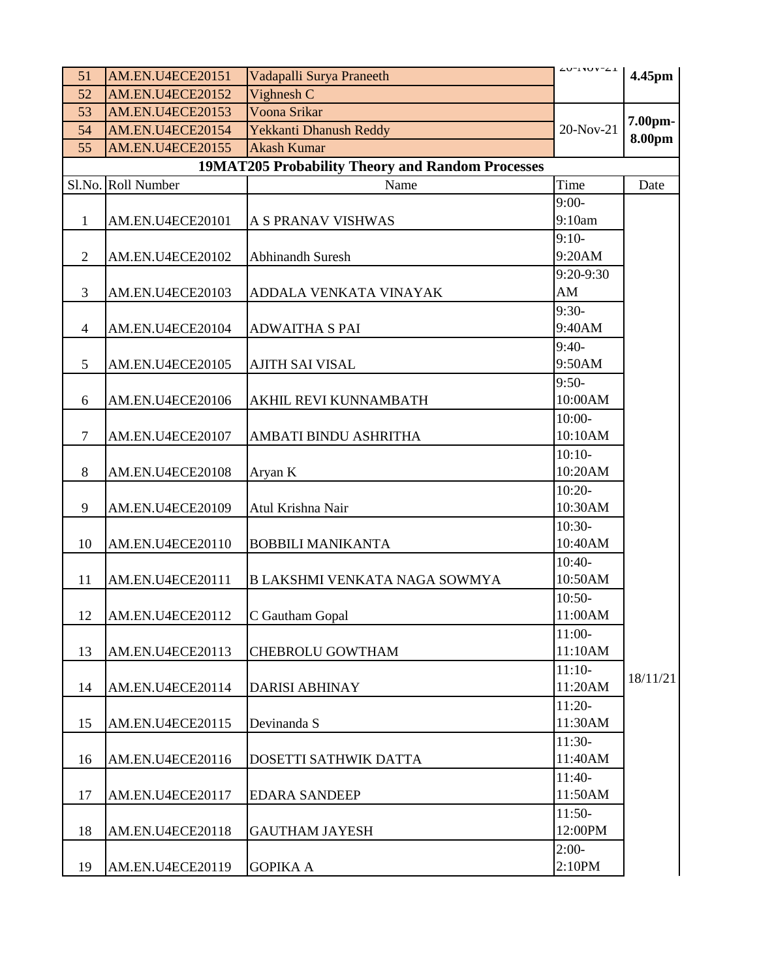| 51             | AM.EN.U4ECE20151   |                                                         | $\angle$ U-INUV- $\angle$ I |          |
|----------------|--------------------|---------------------------------------------------------|-----------------------------|----------|
| 52             | AM.EN.U4ECE20152   | Vadapalli Surya Praneeth<br>Vighnesh C                  |                             | 4.45pm   |
| 53             | AM.EN.U4ECE20153   | Voona Srikar                                            |                             |          |
| 54             | AM.EN.U4ECE20154   | Yekkanti Dhanush Reddy                                  | 20-Nov-21                   | 7.00pm-  |
| 55             | AM.EN.U4ECE20155   | <b>Akash Kumar</b>                                      |                             | 8.00pm   |
|                |                    | <b>19MAT205 Probability Theory and Random Processes</b> |                             |          |
|                | Sl.No. Roll Number | Name                                                    | Time                        | Date     |
|                |                    |                                                         | $9:00-$                     |          |
| $\mathbf{1}$   | AM.EN.U4ECE20101   | A S PRANAV VISHWAS                                      | 9:10am                      |          |
|                |                    |                                                         | $9:10-$                     |          |
| 2              | AM.EN.U4ECE20102   | <b>Abhinandh Suresh</b>                                 | 9:20AM                      |          |
|                |                    |                                                         | 9:20-9:30                   |          |
| 3              | AM.EN.U4ECE20103   | ADDALA VENKATA VINAYAK                                  | AM                          |          |
|                |                    |                                                         | $9:30-$                     |          |
| $\overline{4}$ | AM.EN.U4ECE20104   | <b>ADWAITHA S PAI</b>                                   | 9:40AM                      |          |
|                |                    |                                                         | $9:40-$                     |          |
| 5              | AM.EN.U4ECE20105   | AJITH SAI VISAL                                         | 9:50AM                      |          |
|                |                    |                                                         | $9:50-$                     |          |
| 6              | AM.EN.U4ECE20106   | <b>AKHIL REVI KUNNAMBATH</b>                            | 10:00AM                     |          |
|                |                    |                                                         | $10:00-$                    |          |
| $\overline{7}$ | AM.EN.U4ECE20107   | AMBATI BINDU ASHRITHA                                   | 10:10AM                     |          |
|                |                    |                                                         | $10:10-$                    |          |
| 8              | AM.EN.U4ECE20108   | Aryan K                                                 | 10:20AM                     |          |
|                |                    |                                                         | $10:20-$                    |          |
| 9              | AM.EN.U4ECE20109   | Atul Krishna Nair                                       | 10:30AM                     |          |
|                |                    |                                                         | $10:30-$                    |          |
| 10             | AM.EN.U4ECE20110   | <b>BOBBILI MANIKANTA</b>                                | 10:40AM                     |          |
|                |                    |                                                         | $10:40-$                    |          |
| 11             | AM.EN.U4ECE20111   | B LAKSHMI VENKATA NAGA SOWMYA                           | 10:50AM                     |          |
|                |                    |                                                         | $10:50-$<br>11:00AM         |          |
| 12             | AM.EN.U4ECE20112   | C Gautham Gopal                                         | $11:00-$                    |          |
| 13             | AM.EN.U4ECE20113   | <b>CHEBROLU GOWTHAM</b>                                 | 11:10AM                     |          |
|                |                    |                                                         | $11:10-$                    |          |
| 14             | AM.EN.U4ECE20114   | <b>DARISI ABHINAY</b>                                   | 11:20AM                     | 18/11/21 |
|                |                    |                                                         | $11:20-$                    |          |
| 15             | AM.EN.U4ECE20115   | Devinanda S                                             | 11:30AM                     |          |
|                |                    |                                                         | $11:30-$                    |          |
| 16             | AM.EN.U4ECE20116   | DOSETTI SATHWIK DATTA                                   | 11:40AM                     |          |
|                |                    |                                                         | $11:40-$                    |          |
| 17             | AM.EN.U4ECE20117   | <b>EDARA SANDEEP</b>                                    | 11:50AM                     |          |
|                |                    |                                                         | $11:50-$                    |          |
| 18             | AM.EN.U4ECE20118   | <b>GAUTHAM JAYESH</b>                                   | 12:00PM                     |          |
|                |                    |                                                         | $2:00-$                     |          |
| 19             | AM.EN.U4ECE20119   | <b>GOPIKA A</b>                                         | 2:10PM                      |          |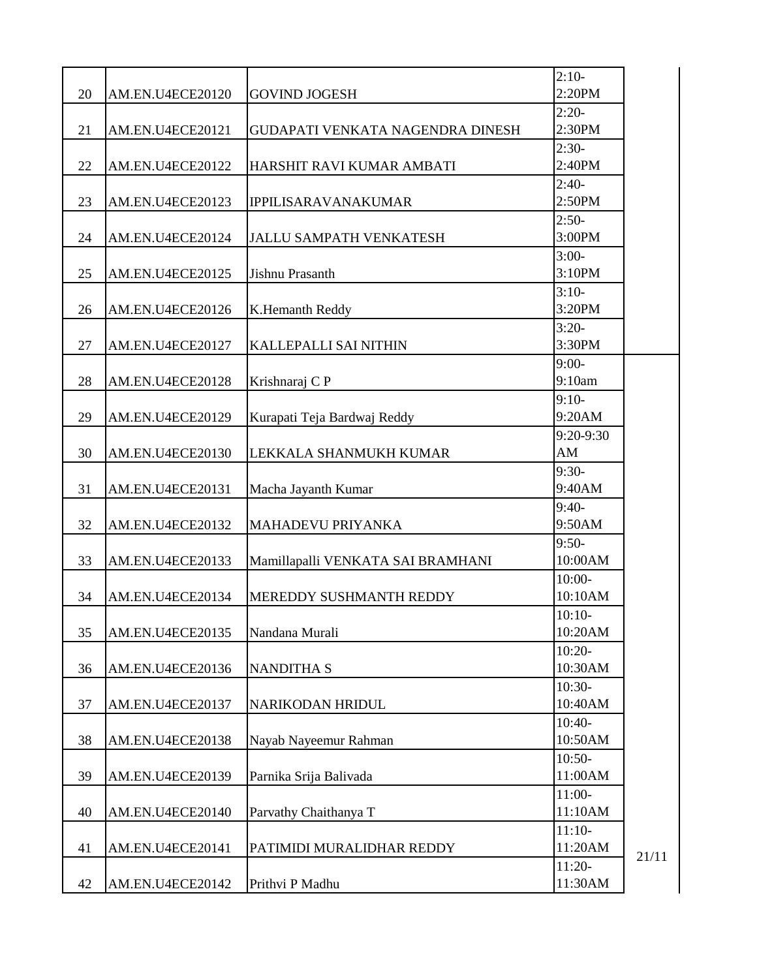|    |                  |                                   | $2:10-$             |       |
|----|------------------|-----------------------------------|---------------------|-------|
| 20 | AM.EN.U4ECE20120 | <b>GOVIND JOGESH</b>              | 2:20PM              |       |
|    |                  |                                   | $2:20-$             |       |
| 21 | AM.EN.U4ECE20121 | GUDAPATI VENKATA NAGENDRA DINESH  | 2:30PM              |       |
|    |                  |                                   | $2:30-$             |       |
| 22 | AM.EN.U4ECE20122 | HARSHIT RAVI KUMAR AMBATI         | 2:40PM              |       |
|    |                  |                                   | $2:40-$             |       |
| 23 | AM.EN.U4ECE20123 | <b>IPPILISARAVANAKUMAR</b>        | 2:50PM              |       |
|    |                  |                                   | $2:50-$             |       |
| 24 | AM.EN.U4ECE20124 | <b>JALLU SAMPATH VENKATESH</b>    | 3:00PM              |       |
|    |                  |                                   | $3:00-$             |       |
| 25 | AM.EN.U4ECE20125 | Jishnu Prasanth                   | 3:10PM              |       |
|    |                  |                                   | $3:10-$             |       |
| 26 | AM.EN.U4ECE20126 | K.Hemanth Reddy                   | 3:20PM              |       |
|    |                  |                                   | $3:20-$             |       |
| 27 | AM.EN.U4ECE20127 | KALLEPALLI SAI NITHIN             | 3:30PM              |       |
|    |                  |                                   | $9:00-$             |       |
| 28 | AM.EN.U4ECE20128 | Krishnaraj C P                    | 9:10am              |       |
|    |                  |                                   | $9:10-$             |       |
| 29 | AM.EN.U4ECE20129 | Kurapati Teja Bardwaj Reddy       | 9:20AM              |       |
|    |                  |                                   | 9:20-9:30           |       |
| 30 | AM.EN.U4ECE20130 | LEKKALA SHANMUKH KUMAR            | AM                  |       |
|    |                  |                                   | $9:30-$             |       |
| 31 | AM.EN.U4ECE20131 | Macha Jayanth Kumar               | 9:40AM              |       |
|    |                  |                                   | $9:40-$             |       |
| 32 | AM.EN.U4ECE20132 | MAHADEVU PRIYANKA                 | 9:50AM              |       |
|    |                  |                                   | $9:50-$             |       |
| 33 | AM.EN.U4ECE20133 | Mamillapalli VENKATA SAI BRAMHANI | 10:00AM             |       |
|    |                  |                                   | $10:00-$            |       |
| 34 | AM.EN.U4ECE20134 | MEREDDY SUSHMANTH REDDY           | 10:10AM             |       |
|    |                  |                                   | $10:10-$            |       |
| 35 | AM.EN.U4ECE20135 | Nandana Murali                    | 10:20AM             |       |
|    |                  |                                   | $10:20-$<br>10:30AM |       |
| 36 | AM.EN.U4ECE20136 | <b>NANDITHA S</b>                 | $10:30-$            |       |
|    |                  |                                   | 10:40AM             |       |
| 37 | AM.EN.U4ECE20137 | NARIKODAN HRIDUL                  | $10:40-$            |       |
|    |                  |                                   | 10:50AM             |       |
| 38 | AM.EN.U4ECE20138 | Nayab Nayeemur Rahman             | $10:50-$            |       |
| 39 |                  |                                   | 11:00AM             |       |
|    | AM.EN.U4ECE20139 | Parnika Srija Balivada            | $11:00-$            |       |
| 40 | AM.EN.U4ECE20140 | Parvathy Chaithanya T             | 11:10AM             |       |
|    |                  |                                   | $11:10-$            |       |
| 41 | AM.EN.U4ECE20141 | PATIMIDI MURALIDHAR REDDY         | 11:20AM             |       |
|    |                  |                                   | $11:20-$            | 21/11 |
| 42 | AM.EN.U4ECE20142 | Prithvi P Madhu                   | 11:30AM             |       |
|    |                  |                                   |                     |       |